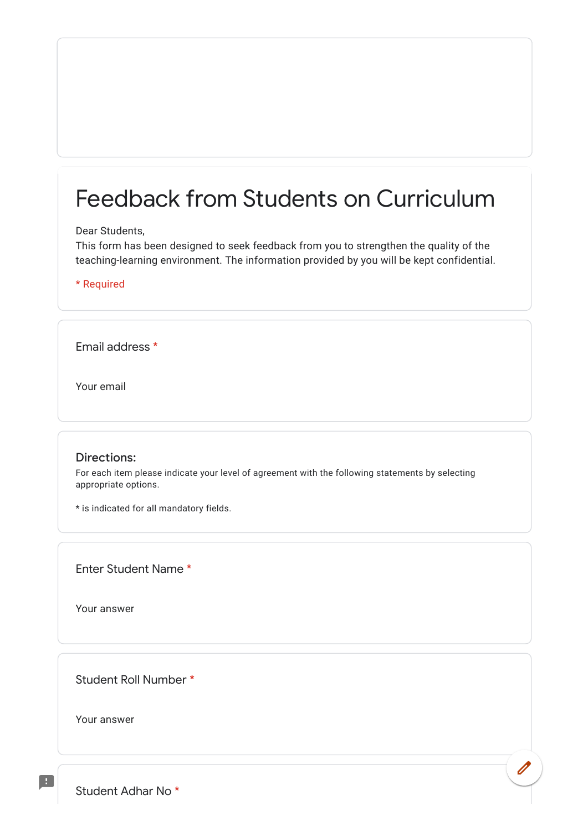## Feedback from Students on Curriculum

## Dear Students,

This form has been designed to seek feedback from you to strengthen the quality of the teaching-learning environment. The information provided by you will be kept confidential.

\* Required

Email address \*

Your email

## Directions:

For each item please indicate your level of agreement with the following statements by selecting appropriate options.

\* is indicated for all mandatory fields.

Enter Student Name \*

Your answer

Student Roll Number \*

Your answer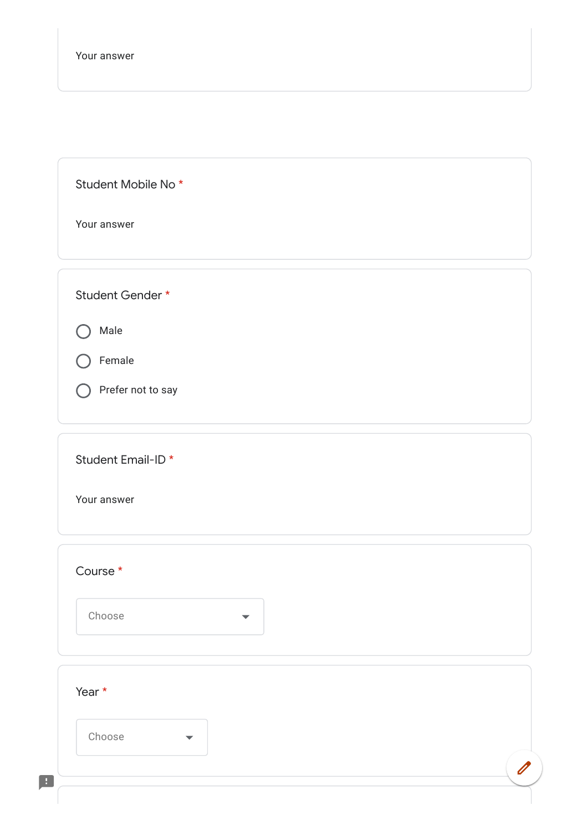Student Mobile No \*

Your answer

Student Gender \*

 $\bigcap$  Male

Female

 $\bigcap$  Prefer not to say

Student Email-ID \*

Your answer

| Year * |                      |  |
|--------|----------------------|--|
| Choose | $\blacktriangledown$ |  |
|        |                      |  |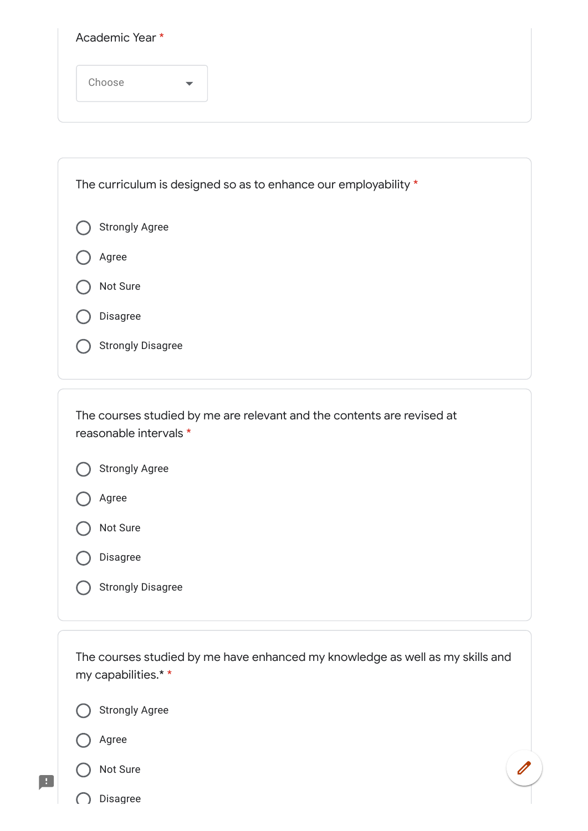| The curriculum is designed so as to enhance our employability * |  |
|-----------------------------------------------------------------|--|
| <b>Strongly Agree</b>                                           |  |
| Agree                                                           |  |
| Not Sure                                                        |  |
| Disagree                                                        |  |
| <b>Strongly Disagree</b>                                        |  |
|                                                                 |  |

The courses studied by me are relevant and the contents are revised at reasonable intervals \*

|  | <b>Strongly Agree</b> |
|--|-----------------------|
|--|-----------------------|





Disagree

Strongly Disagree

The courses studied by me have enhanced my knowledge as well as my skills and my capabilities.\* \*

Strongly Agree



H.



Disagree <sup>-</sup>

C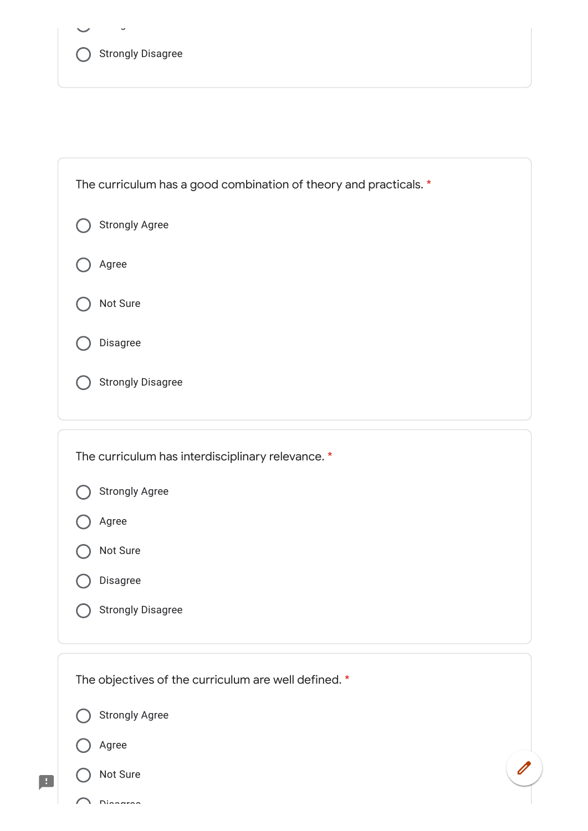| Strongly Disagree |
|-------------------|

g

Disaaraa

| The curriculum has a good combination of theory and practicals. * |
|-------------------------------------------------------------------|
| <b>Strongly Agree</b>                                             |
| Agree                                                             |
| Not Sure                                                          |
| Disagree                                                          |
| <b>Strongly Disagree</b>                                          |
|                                                                   |
| The curriculum has interdisciplinary relevance. *                 |
| <b>Strongly Agree</b>                                             |
| Agree                                                             |
| Not Sure                                                          |
| Disagree                                                          |
| <b>Strongly Disagree</b>                                          |
| The objectives of the curriculum are well defined. *              |
| <b>Strongly Agree</b>                                             |
| Agree                                                             |
| Not Sure                                                          |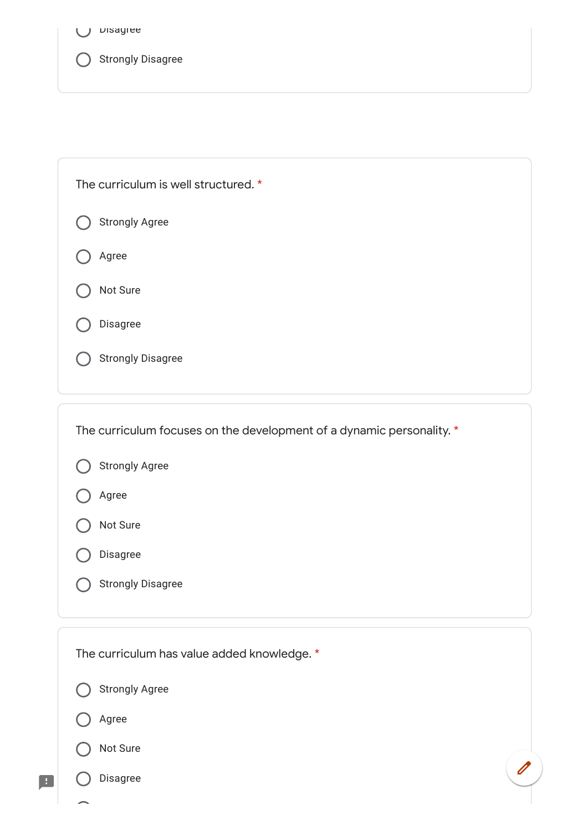O Disagree



| The curriculum is well structured. *                                  |  |
|-----------------------------------------------------------------------|--|
| <b>Strongly Agree</b>                                                 |  |
| Agree                                                                 |  |
| Not Sure                                                              |  |
| Disagree                                                              |  |
| <b>Strongly Disagree</b>                                              |  |
|                                                                       |  |
| The curriculum focuses on the development of a dynamic personality. * |  |
| <b>Strongly Agree</b>                                                 |  |
| Agree                                                                 |  |
| Not Sure                                                              |  |
| Disagree                                                              |  |
| <b>Strongly Disagree</b>                                              |  |
|                                                                       |  |
| The curriculum has value added knowledge. *                           |  |
| <b>Strongly Agree</b>                                                 |  |
|                                                                       |  |

Not Sure

Disagree

 $\blacksquare$